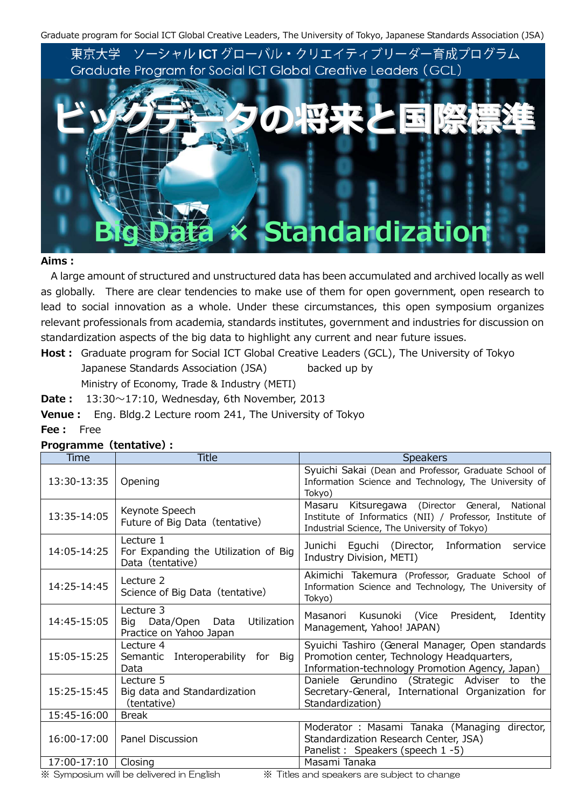Graduate program for Social ICT Global Creative Leaders, The University of Tokyo, Japanese Standards Association (JSA)



#### **Aims:**

A large amount of structured and unstructured data has been accumulated and archived locally as well as globally. There are clear tendencies to make use of them for open government, open research to lead to social innovation as a whole. Under these circumstances, this open symposium organizes relevant professionals from academia, standards institutes, government and industries for discussion on standardization aspects of the big data to highlight any current and near future issues.

**Host:** Graduate program for Social ICT Global Creative Leaders (GCL), The University of Tokyo Japanese Standards Association (JSA) backed up by Ministry of Economy, Trade & Industry (METI)

**Date:** 13:30〜17:10, Wednesday, 6th November, 2013

**Venue:** Eng. Bldg.2 Lecture room 241, The University of Tokyo

#### Time Title Title Speakers 13:30-13:35 Opening Syuichi Sakai (Dean and Professor, Graduate School of Information Science and Technology, The University of Tokyo) 13:35-14:05 | Keynote Speech Future of Big Data (tentative) Masaru Kitsuregawa (Director General, National Institute of Informatics (NII) / Professor, Institute of Industrial Science, The University of Tokyo) 14:05-14:25 Lecture 1 For Expanding the Utilization of Big Data (tentative) Junichi Eguchi (Director, Information service Industry Division, METI) 14:25-14:45 | Lecture 2 Science of Big Data (tentative) Akimichi Takemura (Professor, Graduate School of Information Science and Technology, The University of Tokyo) 14:45-15:05 Lecture 3 Big Data/Open Data Utilization Practice on Yahoo Japan Masanori Kusunoki (Vice President, Identity Management, Yahoo! JAPAN) 15:05-15:25 Lecture  $\overline{4}$ Semantic Interoperability for Big Data Syuichi Tashiro (General Manager, Open standards Promotion center, Technology Headquarters, Information-technology Promotion Agency, Japan) 15:25-15:45 Lecture 5 Big data and Standardization (tentative) Daniele Gerundino (Strategic Adviser to the Secretary-General, International Organization for Standardization) 15:45-16:00 | Break 16:00-17:00 | Panel Discussion Moderator : Masami Tanaka (Managing director, Standardization Research Center, JSA) Panelist: Speakers (speech 1 -5) 17:00-17:10 Closing Masami Tanaka ※ Symposium will be delivered in English ※ Titles and speakers are subject to change

#### **Programme(tentative):**